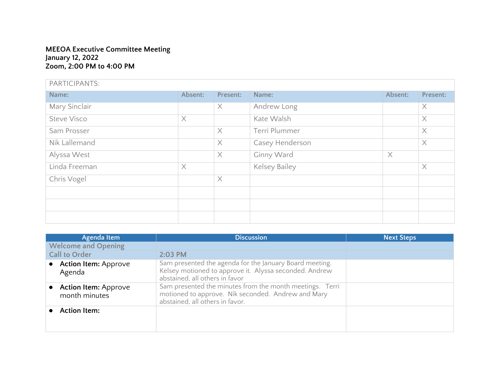## **MEEOA Executive Committee Meeting January 12, 2022 Zoom, 2:00 PM to 4:00 PM**

| PARTICIPANTS:      |          |          |                 |          |          |
|--------------------|----------|----------|-----------------|----------|----------|
| Name:              | Absent:  | Present: | Name:           | Absent:  | Present: |
| Mary Sinclair      |          | $\times$ | Andrew Long     |          | $\times$ |
| <b>Steve Visco</b> | $\times$ |          | Kate Walsh      |          | $\times$ |
| Sam Prosser        |          | $\times$ | Terri Plummer   |          | $\times$ |
| Nik Lallemand      |          | $\times$ | Casey Henderson |          | $\times$ |
| Alyssa West        |          | $\times$ | Ginny Ward      | $\times$ |          |
| Linda Freeman      | $\times$ |          | Kelsey Bailey   |          | $\times$ |
| Chris Vogel        |          | $\times$ |                 |          |          |
|                    |          |          |                 |          |          |
|                    |          |          |                 |          |          |
|                    |          |          |                 |          |          |

| Agenda Item                                  | <b>Discussion</b>                                                                                                                                   | <b>Next Steps</b> |
|----------------------------------------------|-----------------------------------------------------------------------------------------------------------------------------------------------------|-------------------|
| <b>Welcome and Opening</b>                   |                                                                                                                                                     |                   |
| <b>Call to Order</b>                         | 2:03 PM                                                                                                                                             |                   |
| • Action Item: Approve<br>Agenda             | Sam presented the agenda for the January Board meeting.<br>Kelsey motioned to approve it. Alyssa seconded. Andrew<br>abstained, all others in favor |                   |
| <b>Action Item: Approve</b><br>month minutes | Sam presented the minutes from the month meetings. Terri<br>motioned to approve. Nik seconded. Andrew and Mary<br>abstained, all others in favor.   |                   |
| <b>Action Item:</b>                          |                                                                                                                                                     |                   |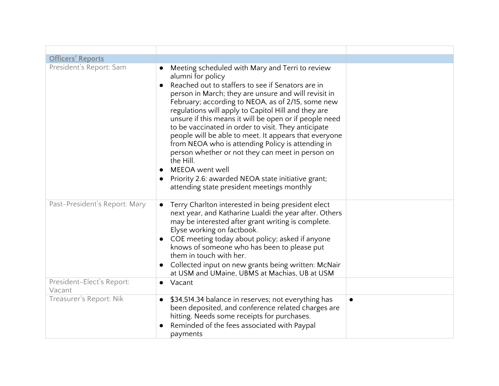| <b>Officers' Reports</b>            |                                                                                                                                                                                                                                                                                                                                                                                                                                                                                                                                                                                                                                                                                                                                   |           |
|-------------------------------------|-----------------------------------------------------------------------------------------------------------------------------------------------------------------------------------------------------------------------------------------------------------------------------------------------------------------------------------------------------------------------------------------------------------------------------------------------------------------------------------------------------------------------------------------------------------------------------------------------------------------------------------------------------------------------------------------------------------------------------------|-----------|
| President's Report: Sam             | Meeting scheduled with Mary and Terri to review<br>alumni for policy<br>Reached out to staffers to see if Senators are in<br>person in March; they are unsure and will revisit in<br>February; according to NEOA, as of 2/15, some new<br>regulations will apply to Capitol Hill and they are<br>unsure if this means it will be open or if people need<br>to be vaccinated in order to visit. They anticipate<br>people will be able to meet. It appears that everyone<br>from NEOA who is attending Policy is attending in<br>person whether or not they can meet in person on<br>the Hill.<br>MEEOA went well<br>Priority 2.6: awarded NEOA state initiative grant;<br>$\bullet$<br>attending state president meetings monthly |           |
| Past-President's Report: Mary       | Terry Charlton interested in being president elect<br>next year, and Katharine Lualdi the year after. Others<br>may be interested after grant writing is complete.<br>Elyse working on factbook.<br>COE meeting today about policy; asked if anyone<br>knows of someone who has been to please put<br>them in touch with her.<br>Collected input on new grants being written: McNair<br>$\bullet$<br>at USM and UMaine, UBMS at Machias, UB at USM                                                                                                                                                                                                                                                                                |           |
| President-Elect's Report:<br>Vacant | Vacant<br>$\bullet$                                                                                                                                                                                                                                                                                                                                                                                                                                                                                                                                                                                                                                                                                                               |           |
| Treasurer's Report: Nik             | \$34,514.34 balance in reserves; not everything has<br>$\bullet$<br>been deposited, and conference related charges are<br>hitting. Needs some receipts for purchases.<br>Reminded of the fees associated with Paypal<br>payments                                                                                                                                                                                                                                                                                                                                                                                                                                                                                                  | $\bullet$ |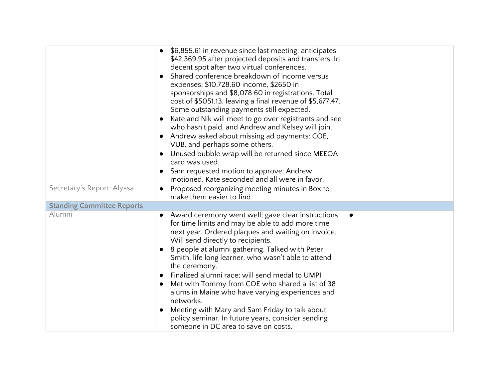|                                   | \$6,855.61 in revenue since last meeting; anticipates<br>\$42,369.95 after projected deposits and transfers. In<br>decent spot after two virtual conferences.<br>Shared conference breakdown of income versus<br>expenses; \$10,728.60 income, \$2650 in<br>sponsorships and \$8,078.60 in registrations. Total<br>cost of \$5051.13, leaving a final revenue of \$5,677.47.<br>Some outstanding payments still expected.<br>Kate and Nik will meet to go over registrants and see<br>who hasn't paid, and Andrew and Kelsey will join.                                                                                                                      |           |
|-----------------------------------|--------------------------------------------------------------------------------------------------------------------------------------------------------------------------------------------------------------------------------------------------------------------------------------------------------------------------------------------------------------------------------------------------------------------------------------------------------------------------------------------------------------------------------------------------------------------------------------------------------------------------------------------------------------|-----------|
|                                   | Andrew asked about missing ad payments: COE,<br>VUB, and perhaps some others.<br>Unused bubble wrap will be returned since MEEOA<br>card was used.<br>Sam requested motion to approve; Andrew<br>motioned, Kate seconded and all were in favor.                                                                                                                                                                                                                                                                                                                                                                                                              |           |
| Secretary's Report: Alyssa        | Proposed reorganizing meeting minutes in Box to<br>$\bullet$<br>make them easier to find.                                                                                                                                                                                                                                                                                                                                                                                                                                                                                                                                                                    |           |
| <b>Standing Committee Reports</b> |                                                                                                                                                                                                                                                                                                                                                                                                                                                                                                                                                                                                                                                              |           |
| Alumni                            | Award ceremony went well; gave clear instructions<br>$\bullet$<br>for time limits and may be able to add more time<br>next year. Ordered plaques and waiting on invoice.<br>Will send directly to recipients.<br>8 people at alumni gathering. Talked with Peter<br>Smith, life long learner, who wasn't able to attend<br>the ceremony.<br>Finalized alumni race; will send medal to UMPI<br>Met with Tommy from COE who shared a list of 38<br>alums in Maine who have varying experiences and<br>networks.<br>Meeting with Mary and Sam Friday to talk about<br>policy seminar. In future years, consider sending<br>someone in DC area to save on costs. | $\bullet$ |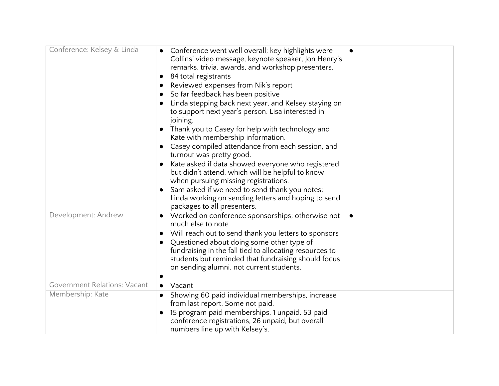| Conference: Kelsey & Linda          | Conference went well overall; key highlights were<br>Collins' video message, keynote speaker, Jon Henry's<br>remarks, trivia, awards, and workshop presenters.<br>84 total registrants<br>$\bullet$<br>Reviewed expenses from Nik's report<br>$\bullet$<br>So far feedback has been positive<br>$\bullet$<br>Linda stepping back next year, and Kelsey staying on<br>to support next year's person. Lisa interested in<br>joining.<br>Thank you to Casey for help with technology and<br>Kate with membership information.<br>Casey compiled attendance from each session, and<br>turnout was pretty good.<br>Kate asked if data showed everyone who registered<br>but didn't attend, which will be helpful to know<br>when pursuing missing registrations.<br>Sam asked if we need to send thank you notes;<br>$\bullet$<br>Linda working on sending letters and hoping to send<br>packages to all presenters. | $\bullet$ |
|-------------------------------------|-----------------------------------------------------------------------------------------------------------------------------------------------------------------------------------------------------------------------------------------------------------------------------------------------------------------------------------------------------------------------------------------------------------------------------------------------------------------------------------------------------------------------------------------------------------------------------------------------------------------------------------------------------------------------------------------------------------------------------------------------------------------------------------------------------------------------------------------------------------------------------------------------------------------|-----------|
| Development: Andrew                 | Worked on conference sponsorships; otherwise not<br>much else to note<br>Will reach out to send thank you letters to sponsors<br>Questioned about doing some other type of<br>fundraising in the fall tied to allocating resources to<br>students but reminded that fundraising should focus<br>on sending alumni, not current students.                                                                                                                                                                                                                                                                                                                                                                                                                                                                                                                                                                        |           |
| <b>Government Relations: Vacant</b> | Vacant<br>$\bullet$                                                                                                                                                                                                                                                                                                                                                                                                                                                                                                                                                                                                                                                                                                                                                                                                                                                                                             |           |
| Membership: Kate                    | Showing 60 paid individual memberships, increase<br>from last report. Some not paid.<br>15 program paid memberships, 1 unpaid. 53 paid<br>conference registrations, 26 unpaid, but overall<br>numbers line up with Kelsey's.                                                                                                                                                                                                                                                                                                                                                                                                                                                                                                                                                                                                                                                                                    |           |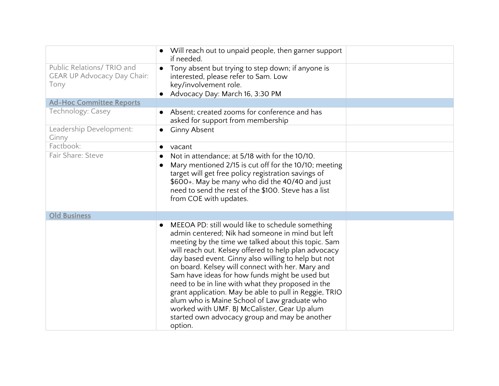|                                                                          | Will reach out to unpaid people, then garner support<br>if needed.                                                                                                                                                                                                                                                                                                                                                                                                                                                                                                                                                                                          |
|--------------------------------------------------------------------------|-------------------------------------------------------------------------------------------------------------------------------------------------------------------------------------------------------------------------------------------------------------------------------------------------------------------------------------------------------------------------------------------------------------------------------------------------------------------------------------------------------------------------------------------------------------------------------------------------------------------------------------------------------------|
| Public Relations/ TRIO and<br><b>GEAR UP Advocacy Day Chair:</b><br>Tony | Tony absent but trying to step down; if anyone is<br>interested, please refer to Sam. Low<br>key/involvement role.<br>Advocacy Day: March 16, 3:30 PM                                                                                                                                                                                                                                                                                                                                                                                                                                                                                                       |
| <b>Ad-Hoc Committee Reports</b>                                          |                                                                                                                                                                                                                                                                                                                                                                                                                                                                                                                                                                                                                                                             |
| Technology: Casey                                                        | Absent; created zooms for conference and has<br>asked for support from membership                                                                                                                                                                                                                                                                                                                                                                                                                                                                                                                                                                           |
| Leadership Development:<br>Ginny                                         | <b>Ginny Absent</b>                                                                                                                                                                                                                                                                                                                                                                                                                                                                                                                                                                                                                                         |
| Factbook:                                                                | vacant<br>$\bullet$                                                                                                                                                                                                                                                                                                                                                                                                                                                                                                                                                                                                                                         |
| Fair Share: Steve                                                        | Not in attendance; at 5/18 with for the 10/10.<br>Mary mentioned 2/15 is cut off for the 10/10; meeting<br>target will get free policy registration savings of<br>\$600+. May be many who did the 40/40 and just<br>need to send the rest of the \$100. Steve has a list<br>from COE with updates.                                                                                                                                                                                                                                                                                                                                                          |
| <b>Old Business</b>                                                      |                                                                                                                                                                                                                                                                                                                                                                                                                                                                                                                                                                                                                                                             |
|                                                                          | MEEOA PD: still would like to schedule something<br>admin centered; Nik had someone in mind but left<br>meeting by the time we talked about this topic. Sam<br>will reach out. Kelsey offered to help plan advocacy<br>day based event. Ginny also willing to help but not<br>on board. Kelsey will connect with her. Mary and<br>Sam have ideas for how funds might be used but<br>need to be in line with what they proposed in the<br>grant application. May be able to pull in Reggie, TRIO<br>alum who is Maine School of Law graduate who<br>worked with UMF. BJ McCalister, Gear Up alum<br>started own advocacy group and may be another<br>option. |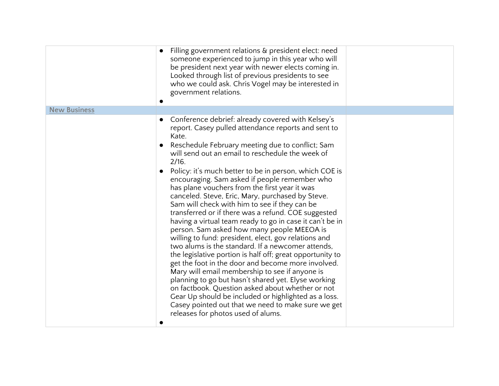|                     | Filling government relations & president elect: need<br>someone experienced to jump in this year who will<br>be president next year with newer elects coming in.<br>Looked through list of previous presidents to see<br>who we could ask. Chris Vogel may be interested in<br>government relations.                                                                                                                                                                                                                                                                                                                                                                                                                                                                                                                                                                                                                                                                                                                                                                                                                                                                                                                  |
|---------------------|-----------------------------------------------------------------------------------------------------------------------------------------------------------------------------------------------------------------------------------------------------------------------------------------------------------------------------------------------------------------------------------------------------------------------------------------------------------------------------------------------------------------------------------------------------------------------------------------------------------------------------------------------------------------------------------------------------------------------------------------------------------------------------------------------------------------------------------------------------------------------------------------------------------------------------------------------------------------------------------------------------------------------------------------------------------------------------------------------------------------------------------------------------------------------------------------------------------------------|
| <b>New Business</b> |                                                                                                                                                                                                                                                                                                                                                                                                                                                                                                                                                                                                                                                                                                                                                                                                                                                                                                                                                                                                                                                                                                                                                                                                                       |
|                     | Conference debrief: already covered with Kelsey's<br>report. Casey pulled attendance reports and sent to<br>Kate.<br>Reschedule February meeting due to conflict; Sam<br>will send out an email to reschedule the week of<br>2/16.<br>Policy: it's much better to be in person, which COE is<br>encouraging. Sam asked if people remember who<br>has plane vouchers from the first year it was<br>canceled. Steve, Eric, Mary, purchased by Steve.<br>Sam will check with him to see if they can be<br>transferred or if there was a refund. COE suggested<br>having a virtual team ready to go in case it can't be in<br>person. Sam asked how many people MEEOA is<br>willing to fund: president, elect, gov relations and<br>two alums is the standard. If a newcomer attends,<br>the legislative portion is half off; great opportunity to<br>get the foot in the door and become more involved.<br>Mary will email membership to see if anyone is<br>planning to go but hasn't shared yet. Elyse working<br>on factbook. Question asked about whether or not<br>Gear Up should be included or highlighted as a loss.<br>Casey pointed out that we need to make sure we get<br>releases for photos used of alums. |